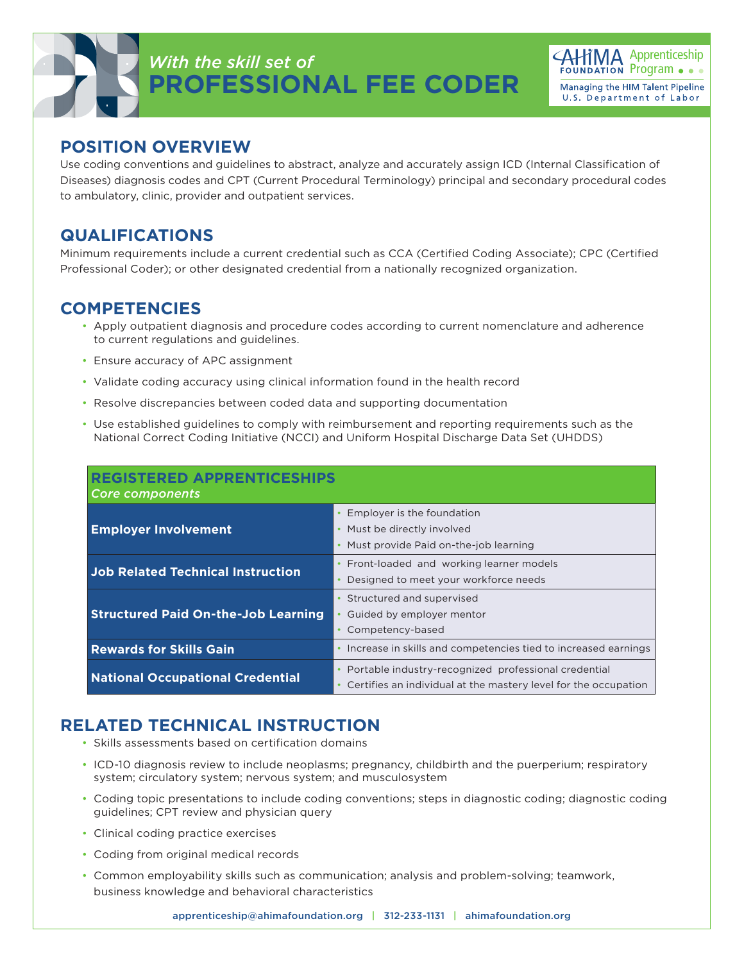# *With the skill set of* **PROFESSIONAL FEE CODER**



#### **POSITION OVERVIEW**

Use coding conventions and guidelines to abstract, analyze and accurately assign ICD (Internal Classification of Diseases) diagnosis codes and CPT (Current Procedural Terminology) principal and secondary procedural codes to ambulatory, clinic, provider and outpatient services.

#### **QUALIFICATIONS**

Minimum requirements include a current credential such as CCA (Certified Coding Associate); CPC (Certified Professional Coder); or other designated credential from a nationally recognized organization.

### **COMPETENCIES**

- Apply outpatient diagnosis and procedure codes according to current nomenclature and adherence to current regulations and guidelines.
- Ensure accuracy of APC assignment
- Validate coding accuracy using clinical information found in the health record
- Resolve discrepancies between coded data and supporting documentation
- Use established guidelines to comply with reimbursement and reporting requirements such as the National Correct Coding Initiative (NCCI) and Uniform Hospital Discharge Data Set (UHDDS)

| <b>REGISTERED APPRENTICESHIPS</b><br>Core components |                                                                                                                         |
|------------------------------------------------------|-------------------------------------------------------------------------------------------------------------------------|
| <b>Employer Involvement</b>                          | Employer is the foundation<br>Must be directly involved<br>Must provide Paid on-the-job learning                        |
| <b>Job Related Technical Instruction</b>             | Front-loaded and working learner models<br>Designed to meet your workforce needs                                        |
| <b>Structured Paid On-the-Job Learning</b>           | Structured and supervised<br>Guided by employer mentor<br>Competency-based                                              |
| <b>Rewards for Skills Gain</b>                       | Increase in skills and competencies tied to increased earnings                                                          |
| <b>National Occupational Credential</b>              | Portable industry-recognized professional credential<br>Certifies an individual at the mastery level for the occupation |

## **RELATED TECHNICAL INSTRUCTION**

- Skills assessments based on certification domains
- ICD-10 diagnosis review to include neoplasms; pregnancy, childbirth and the puerperium; respiratory system; circulatory system; nervous system; and musculosystem
- Coding topic presentations to include coding conventions; steps in diagnostic coding; diagnostic coding guidelines; CPT review and physician query
- Clinical coding practice exercises
- Coding from original medical records
- Common employability skills such as communication; analysis and problem-solving; teamwork, business knowledge and behavioral characteristics